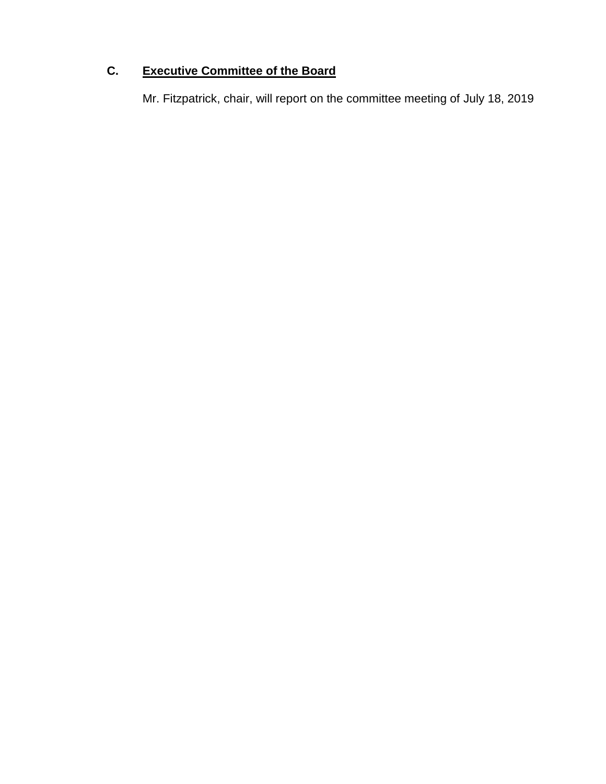# **C. Executive Committee of the Board**

Mr. Fitzpatrick, chair, will report on the committee meeting of July 18, 2019